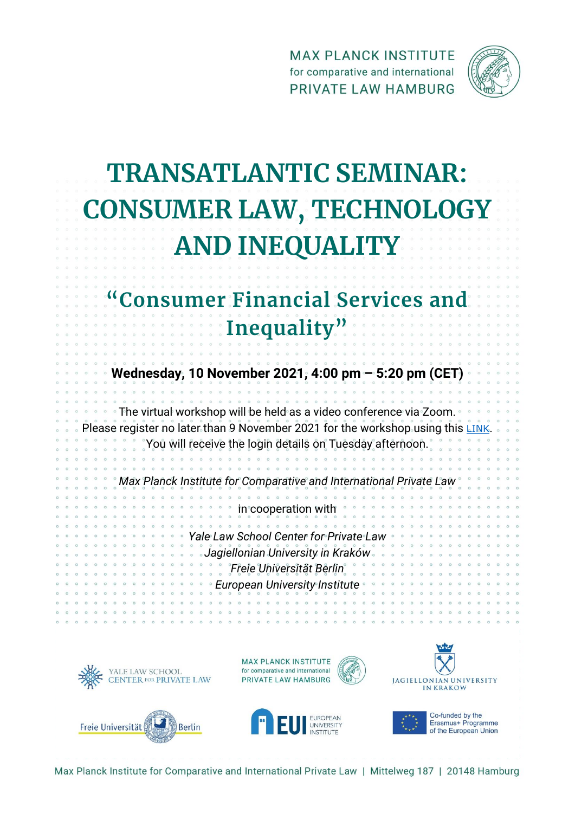**MAX PLANCK INSTITUTE** for comparative and international PRIVATE LAW HAMBURG



## **TRANSATLANTIC SEMINAR: CONSUMER LAW, TECHNOLOGY AND INEQUALITY**

## **Consumer Financial Services and Inequality"**

**Wednesday, 10 November 2021, 4:00 pm – 5:20 pm (CET)**

The virtual workshop will be held as a video conference via Zoom. Please register no later than 9 November 2021 for the workshop using this [LINK](https://events.gwdg.de/event/63/) You will receive the login details on Tuesday afternoon.

*Max Planck Institute for Comparative and International Private Law*

in cooperation with *Yale Law School Center for Private Law Jagiellonian University in Kraków Freie Universität Berlin European University Institute*





**UNIVERSITY** 





Co-funded by the Erasmus+ Programme of the European Union